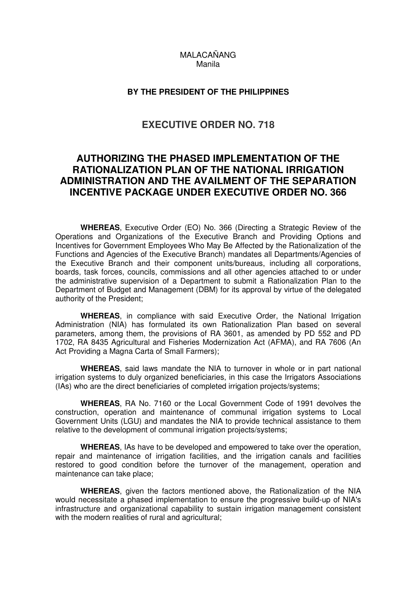## MALACAÑANG Manila

## **BY THE PRESIDENT OF THE PHILIPPINES**

## **EXECUTIVE ORDER NO. 718**

## **AUTHORIZING THE PHASED IMPLEMENTATION OF THE RATIONALIZATION PLAN OF THE NATIONAL IRRIGATION ADMINISTRATION AND THE AVAILMENT OF THE SEPARATION INCENTIVE PACKAGE UNDER EXECUTIVE ORDER NO. 366**

**WHEREAS**, Executive Order (EO) No. 366 (Directing a Strategic Review of the Operations and Organizations of the Executive Branch and Providing Options and Incentives for Government Employees Who May Be Affected by the Rationalization of the Functions and Agencies of the Executive Branch) mandates all Departments/Agencies of the Executive Branch and their component units/bureaus, including all corporations, boards, task forces, councils, commissions and all other agencies attached to or under the administrative supervision of a Department to submit a Rationalization Plan to the Department of Budget and Management (DBM) for its approval by virtue of the delegated authority of the President;

**WHEREAS**, in compliance with said Executive Order, the National Irrigation Administration (NIA) has formulated its own Rationalization Plan based on several parameters, among them, the provisions of RA 3601, as amended by PD 552 and PD 1702, RA 8435 Agricultural and Fisheries Modernization Act (AFMA), and RA 7606 (An Act Providing a Magna Carta of Small Farmers);

**WHEREAS**, said laws mandate the NIA to turnover in whole or in part national irrigation systems to duly organized beneficiaries, in this case the Irrigators Associations (IAs) who are the direct beneficiaries of completed irrigation projects/systems;

**WHEREAS**, RA No. 7160 or the Local Government Code of 1991 devolves the construction, operation and maintenance of communal irrigation systems to Local Government Units (LGU) and mandates the NIA to provide technical assistance to them relative to the development of communal irrigation projects/systems;

**WHEREAS**, IAs have to be developed and empowered to take over the operation, repair and maintenance of irrigation facilities, and the irrigation canals and facilities restored to good condition before the turnover of the management, operation and maintenance can take place;

**WHEREAS**, given the factors mentioned above, the Rationalization of the NIA would necessitate a phased implementation to ensure the progressive build-up of NIA's infrastructure and organizational capability to sustain irrigation management consistent with the modern realities of rural and agricultural;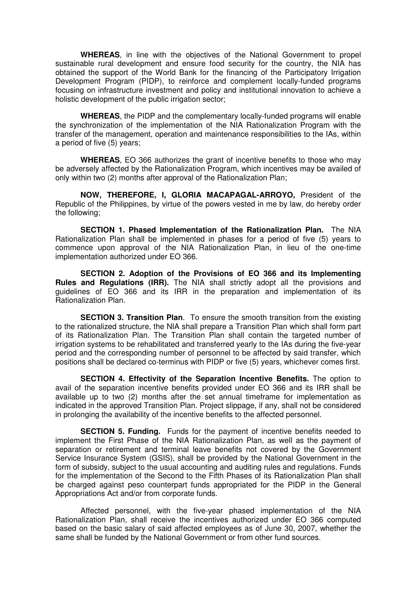**WHEREAS**, in line with the objectives of the National Government to propel sustainable rural development and ensure food security for the country, the NIA has obtained the support of the World Bank for the financing of the Participatory Irrigation Development Program (PIDP), to reinforce and complement locally-funded programs focusing on infrastructure investment and policy and institutional innovation to achieve a holistic development of the public irrigation sector;

**WHEREAS**, the PIDP and the complementary locally-funded programs will enable the synchronization of the implementation of the NIA Rationalization Program with the transfer of the management, operation and maintenance responsibilities to the IAs, within a period of five (5) years;

**WHEREAS**, EO 366 authorizes the grant of incentive benefits to those who may be adversely affected by the Rationalization Program, which incentives may be availed of only within two (2) months after approval of the Rationalization Plan;

**NOW, THEREFORE, I, GLORIA MACAPAGAL-ARROYO,** President of the Republic of the Philippines, by virtue of the powers vested in me by law, do hereby order the following;

**SECTION 1. Phased Implementation of the Rationalization Plan.** The NIA Rationalization Plan shall be implemented in phases for a period of five (5) years to commence upon approval of the NIA Rationalization Plan, in lieu of the one-time implementation authorized under EO 366.

**SECTION 2. Adoption of the Provisions of EO 366 and its Implementing Rules and Regulations (IRR).** The NIA shall strictly adopt all the provisions and guidelines of EO 366 and its IRR in the preparation and implementation of its Rationalization Plan.

**SECTION 3. Transition Plan**. To ensure the smooth transition from the existing to the rationalized structure, the NIA shall prepare a Transition Plan which shall form part of its Rationalization Plan. The Transition Plan shall contain the targeted number of irrigation systems to be rehabilitated and transferred yearly to the IAs during the five-year period and the corresponding number of personnel to be affected by said transfer, which positions shall be declared co-terminus with PIDP or five (5) years, whichever comes first.

**SECTION 4. Effectivity of the Separation Incentive Benefits.** The option to avail of the separation incentive benefits provided under EO 366 and its IRR shall be available up to two (2) months after the set annual timeframe for implementation as indicated in the approved Transition Plan. Project slippage, if any, shall not be considered in prolonging the availability of the incentive benefits to the affected personnel.

**SECTION 5. Funding.** Funds for the payment of incentive benefits needed to implement the First Phase of the NIA Rationalization Plan, as well as the payment of separation or retirement and terminal leave benefits not covered by the Government Service Insurance System (GSIS), shall be provided by the National Government in the form of subsidy, subject to the usual accounting and auditing rules and regulations. Funds for the implementation of the Second to the Fifth Phases of its Rationalization Plan shall be charged against peso counterpart funds appropriated for the PIDP in the General Appropriations Act and/or from corporate funds.

 Affected personnel, with the five-year phased implementation of the NIA Rationalization Plan, shall receive the incentives authorized under EO 366 computed based on the basic salary of said affected employees as of June 30, 2007, whether the same shall be funded by the National Government or from other fund sources.